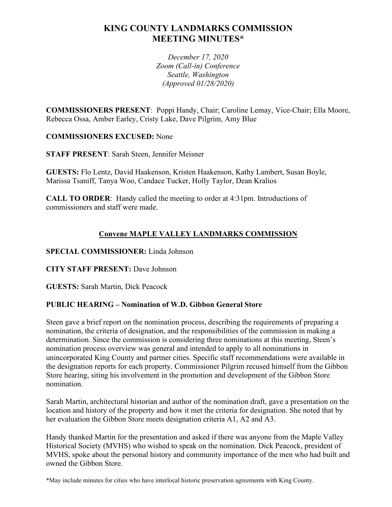# **KING COUNTY LANDMARKS COMMISSION MEETING MINUTES\***

*December 17, 2020 Zoom (Call-in) Conference Seattle, Washington (Approved 01/28/2020)*

**COMMISSIONERS PRESENT**: Poppi Handy, Chair; Caroline Lemay, Vice-Chair; Ella Moore, Rebecca Ossa, Amber Earley, Cristy Lake, Dave Pilgrim, Amy Blue

### **COMMISSIONERS EXCUSED:** None

**STAFF PRESENT**: Sarah Steen, Jennifer Meisner

**GUESTS:** Flo Lentz, David Haakenson, Kristen Haakenson, Kathy Lambert, Susan Boyle, Marissa Tsaniff, Tanya Woo, Candace Tucker, Holly Taylor, Dean Kralios

**CALL TO ORDER**: Handy called the meeting to order at 4:31pm. Introductions of commissioners and staff were made.

## **Convene MAPLE VALLEY LANDMARKS COMMISSION**

## **SPECIAL COMMISSIONER:** Linda Johnson

### **CITY STAFF PRESENT:** Dave Johnson

**GUESTS:** Sarah Martin, Dick Peacock

## **PUBLIC HEARING – Nomination of W.D. Gibbon General Store**

Steen gave a brief report on the nomination process, describing the requirements of preparing a nomination, the criteria of designation, and the responsibilities of the commission in making a determination. Since the commission is considering three nominations at this meeting, Steen's nomination process overview was general and intended to apply to all nominations in unincorporated King County and partner cities. Specific staff recommendations were available in the designation reports for each property. Commissioner Pilgrim recused himself from the Gibbon Store hearing, siting his involvement in the promotion and development of the Gibbon Store nomination.

Sarah Martin, architectural historian and author of the nomination draft, gave a presentation on the location and history of the property and how it met the criteria for designation. She noted that by her evaluation the Gibbon Store meets designation criteria A1, A2 and A3.

Handy thanked Martin for the presentation and asked if there was anyone from the Maple Valley Historical Society (MVHS) who wished to speak on the nomination. Dick Peacock, president of MVHS, spoke about the personal history and community importance of the men who had built and owned the Gibbon Store.

\*May include minutes for cities who have interlocal historic preservation agreements with King County.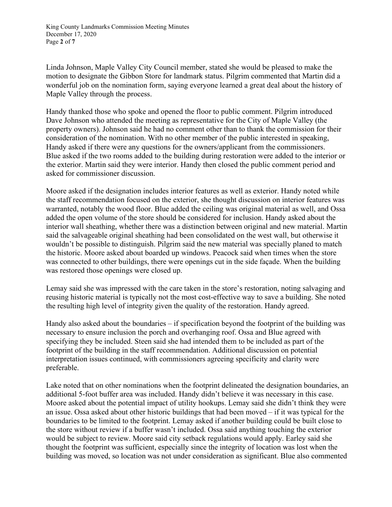King County Landmarks Commission Meeting Minutes December 17, 2020 Page **2** of **7**

Linda Johnson, Maple Valley City Council member, stated she would be pleased to make the motion to designate the Gibbon Store for landmark status. Pilgrim commented that Martin did a wonderful job on the nomination form, saying everyone learned a great deal about the history of Maple Valley through the process.

Handy thanked those who spoke and opened the floor to public comment. Pilgrim introduced Dave Johnson who attended the meeting as representative for the City of Maple Valley (the property owners). Johnson said he had no comment other than to thank the commission for their consideration of the nomination. With no other member of the public interested in speaking, Handy asked if there were any questions for the owners/applicant from the commissioners. Blue asked if the two rooms added to the building during restoration were added to the interior or the exterior. Martin said they were interior. Handy then closed the public comment period and asked for commissioner discussion.

Moore asked if the designation includes interior features as well as exterior. Handy noted while the staff recommendation focused on the exterior, she thought discussion on interior features was warranted, notably the wood floor. Blue added the ceiling was original material as well, and Ossa added the open volume of the store should be considered for inclusion. Handy asked about the interior wall sheathing, whether there was a distinction between original and new material. Martin said the salvageable original sheathing had been consolidated on the west wall, but otherwise it wouldn't be possible to distinguish. Pilgrim said the new material was specially planed to match the historic. Moore asked about boarded up windows. Peacock said when times when the store was connected to other buildings, there were openings cut in the side façade. When the building was restored those openings were closed up.

Lemay said she was impressed with the care taken in the store's restoration, noting salvaging and reusing historic material is typically not the most cost-effective way to save a building. She noted the resulting high level of integrity given the quality of the restoration. Handy agreed.

Handy also asked about the boundaries – if specification beyond the footprint of the building was necessary to ensure inclusion the porch and overhanging roof. Ossa and Blue agreed with specifying they be included. Steen said she had intended them to be included as part of the footprint of the building in the staff recommendation. Additional discussion on potential interpretation issues continued, with commissioners agreeing specificity and clarity were preferable.

Lake noted that on other nominations when the footprint delineated the designation boundaries, an additional 5-foot buffer area was included. Handy didn't believe it was necessary in this case. Moore asked about the potential impact of utility hookups. Lemay said she didn't think they were an issue. Ossa asked about other historic buildings that had been moved – if it was typical for the boundaries to be limited to the footprint. Lemay asked if another building could be built close to the store without review if a buffer wasn't included. Ossa said anything touching the exterior would be subject to review. Moore said city setback regulations would apply. Earley said she thought the footprint was sufficient, especially since the integrity of location was lost when the building was moved, so location was not under consideration as significant. Blue also commented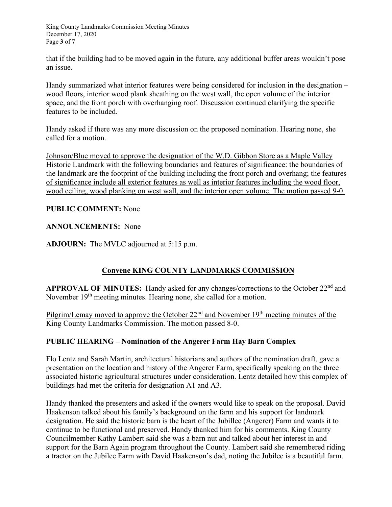King County Landmarks Commission Meeting Minutes December 17, 2020 Page **3** of **7**

that if the building had to be moved again in the future, any additional buffer areas wouldn't pose an issue.

Handy summarized what interior features were being considered for inclusion in the designation – wood floors, interior wood plank sheathing on the west wall, the open volume of the interior space, and the front porch with overhanging roof. Discussion continued clarifying the specific features to be included.

Handy asked if there was any more discussion on the proposed nomination. Hearing none, she called for a motion.

Johnson/Blue moved to approve the designation of the W.D. Gibbon Store as a Maple Valley Historic Landmark with the following boundaries and features of significance: the boundaries of the landmark are the footprint of the building including the front porch and overhang; the features of significance include all exterior features as well as interior features including the wood floor, wood ceiling, wood planking on west wall, and the interior open volume. The motion passed 9-0.

### **PUBLIC COMMENT:** None

#### **ANNOUNCEMENTS:** None

**ADJOURN:** The MVLC adjourned at 5:15 p.m.

## **Convene KING COUNTY LANDMARKS COMMISSION**

**APPROVAL OF MINUTES:** Handy asked for any changes/corrections to the October 22<sup>nd</sup> and November 19<sup>th</sup> meeting minutes. Hearing none, she called for a motion.

Pilgrim/Lemay moved to approve the October  $22<sup>nd</sup>$  and November  $19<sup>th</sup>$  meeting minutes of the King County Landmarks Commission. The motion passed 8-0.

### **PUBLIC HEARING – Nomination of the Angerer Farm Hay Barn Complex**

Flo Lentz and Sarah Martin, architectural historians and authors of the nomination draft, gave a presentation on the location and history of the Angerer Farm, specifically speaking on the three associated historic agricultural structures under consideration. Lentz detailed how this complex of buildings had met the criteria for designation A1 and A3.

Handy thanked the presenters and asked if the owners would like to speak on the proposal. David Haakenson talked about his family's background on the farm and his support for landmark designation. He said the historic barn is the heart of the Jubillee (Angerer) Farm and wants it to continue to be functional and preserved. Handy thanked him for his comments. King County Councilmember Kathy Lambert said she was a barn nut and talked about her interest in and support for the Barn Again program throughout the County. Lambert said she remembered riding a tractor on the Jubilee Farm with David Haakenson's dad, noting the Jubilee is a beautiful farm.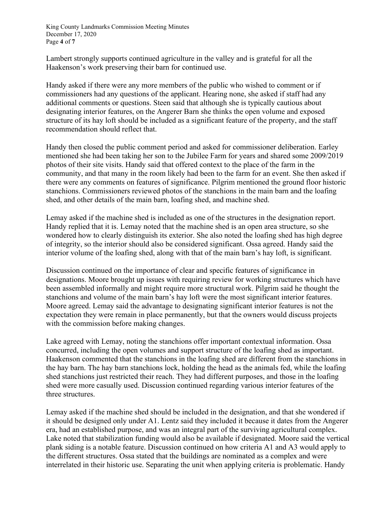King County Landmarks Commission Meeting Minutes December 17, 2020 Page **4** of **7**

Lambert strongly supports continued agriculture in the valley and is grateful for all the Haakenson's work preserving their barn for continued use.

Handy asked if there were any more members of the public who wished to comment or if commissioners had any questions of the applicant. Hearing none, she asked if staff had any additional comments or questions. Steen said that although she is typically cautious about designating interior features, on the Angerer Barn she thinks the open volume and exposed structure of its hay loft should be included as a significant feature of the property, and the staff recommendation should reflect that.

Handy then closed the public comment period and asked for commissioner deliberation. Earley mentioned she had been taking her son to the Jubilee Farm for years and shared some 2009/2019 photos of their site visits. Handy said that offered context to the place of the farm in the community, and that many in the room likely had been to the farm for an event. She then asked if there were any comments on features of significance. Pilgrim mentioned the ground floor historic stanchions. Commissioners reviewed photos of the stanchions in the main barn and the loafing shed, and other details of the main barn, loafing shed, and machine shed.

Lemay asked if the machine shed is included as one of the structures in the designation report. Handy replied that it is. Lemay noted that the machine shed is an open area structure, so she wondered how to clearly distinguish its exterior. She also noted the loafing shed has high degree of integrity, so the interior should also be considered significant. Ossa agreed. Handy said the interior volume of the loafing shed, along with that of the main barn's hay loft, is significant.

Discussion continued on the importance of clear and specific features of significance in designations. Moore brought up issues with requiring review for working structures which have been assembled informally and might require more structural work. Pilgrim said he thought the stanchions and volume of the main barn's hay loft were the most significant interior features. Moore agreed. Lemay said the advantage to designating significant interior features is not the expectation they were remain in place permanently, but that the owners would discuss projects with the commission before making changes.

Lake agreed with Lemay, noting the stanchions offer important contextual information. Ossa concurred, including the open volumes and support structure of the loafing shed as important. Haakenson commented that the stanchions in the loafing shed are different from the stanchions in the hay barn. The hay barn stanchions lock, holding the head as the animals fed, while the loafing shed stanchions just restricted their reach. They had different purposes, and those in the loafing shed were more casually used. Discussion continued regarding various interior features of the three structures.

Lemay asked if the machine shed should be included in the designation, and that she wondered if it should be designed only under A1. Lentz said they included it because it dates from the Angerer era, had an established purpose, and was an integral part of the surviving agricultural complex. Lake noted that stabilization funding would also be available if designated. Moore said the vertical plank siding is a notable feature. Discussion continued on how criteria A1 and A3 would apply to the different structures. Ossa stated that the buildings are nominated as a complex and were interrelated in their historic use. Separating the unit when applying criteria is problematic. Handy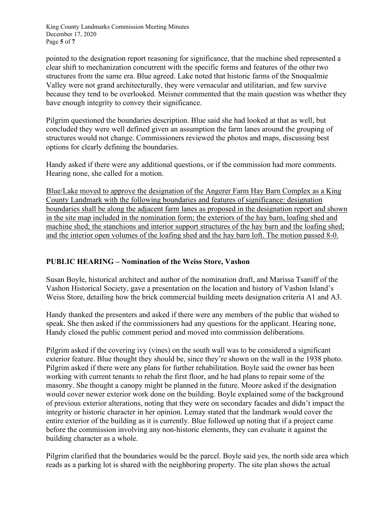King County Landmarks Commission Meeting Minutes December 17, 2020 Page **5** of **7**

pointed to the designation report reasoning for significance, that the machine shed represented a clear shift to mechanization concurrent with the specific forms and features of the other two structures from the same era. Blue agreed. Lake noted that historic farms of the Snoqualmie Valley were not grand architecturally, they were vernacular and utilitarian, and few survive because they tend to be overlooked. Meisner commented that the main question was whether they have enough integrity to convey their significance.

Pilgrim questioned the boundaries description. Blue said she had looked at that as well, but concluded they were well defined given an assumption the farm lanes around the grouping of structures would not change. Commissioners reviewed the photos and maps, discussing best options for clearly defining the boundaries.

Handy asked if there were any additional questions, or if the commission had more comments. Hearing none, she called for a motion.

Blue/Lake moved to approve the designation of the Angerer Farm Hay Barn Complex as a King County Landmark with the following boundaries and features of significance: designation boundaries shall be along the adjacent farm lanes as proposed in the designation report and shown in the site map included in the nomination form; the exteriors of the hay barn, loafing shed and machine shed; the stanchions and interior support structures of the hay barn and the loafing shed; and the interior open volumes of the loafing shed and the hay barn loft. The motion passed 8-0.

### **PUBLIC HEARING – Nomination of the Weiss Store, Vashon**

Susan Boyle, historical architect and author of the nomination draft, and Marissa Tsaniff of the Vashon Historical Society, gave a presentation on the location and history of Vashon Island's Weiss Store, detailing how the brick commercial building meets designation criteria A1 and A3.

Handy thanked the presenters and asked if there were any members of the public that wished to speak. She then asked if the commissioners had any questions for the applicant. Hearing none, Handy closed the public comment period and moved into commission deliberations.

Pilgrim asked if the covering ivy (vines) on the south wall was to be considered a significant exterior feature. Blue thought they should be, since they're shown on the wall in the 1938 photo. Pilgrim asked if there were any plans for further rehabilitation. Boyle said the owner has been working with current tenants to rehab the first floor, and he had plans to repair some of the masonry. She thought a canopy might be planned in the future. Moore asked if the designation would cover newer exterior work done on the building. Boyle explained some of the background of previous exterior alterations, noting that they were on secondary facades and didn't impact the integrity or historic character in her opinion. Lemay stated that the landmark would cover the entire exterior of the building as it is currently. Blue followed up noting that if a project came before the commission involving any non-historic elements, they can evaluate it against the building character as a whole.

Pilgrim clarified that the boundaries would be the parcel. Boyle said yes, the north side area which reads as a parking lot is shared with the neighboring property. The site plan shows the actual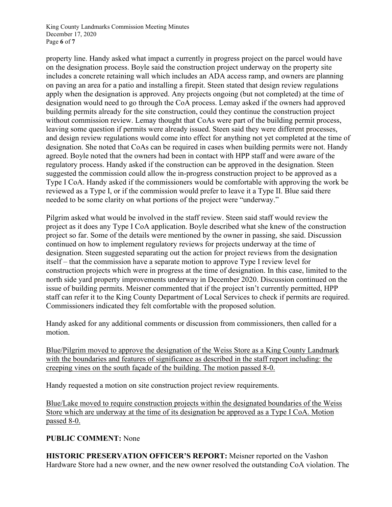King County Landmarks Commission Meeting Minutes December 17, 2020 Page **6** of **7**

property line. Handy asked what impact a currently in progress project on the parcel would have on the designation process. Boyle said the construction project underway on the property site includes a concrete retaining wall which includes an ADA access ramp, and owners are planning on paving an area for a patio and installing a firepit. Steen stated that design review regulations apply when the designation is approved. Any projects ongoing (but not completed) at the time of designation would need to go through the CoA process. Lemay asked if the owners had approved building permits already for the site construction, could they continue the construction project without commission review. Lemay thought that CoAs were part of the building permit process, leaving some question if permits were already issued. Steen said they were different processes, and design review regulations would come into effect for anything not yet completed at the time of designation. She noted that CoAs can be required in cases when building permits were not. Handy agreed. Boyle noted that the owners had been in contact with HPP staff and were aware of the regulatory process. Handy asked if the construction can be approved in the designation. Steen suggested the commission could allow the in-progress construction project to be approved as a Type I CoA. Handy asked if the commissioners would be comfortable with approving the work be reviewed as a Type I, or if the commission would prefer to leave it a Type II. Blue said there needed to be some clarity on what portions of the project were "underway."

Pilgrim asked what would be involved in the staff review. Steen said staff would review the project as it does any Type I CoA application. Boyle described what she knew of the construction project so far. Some of the details were mentioned by the owner in passing, she said. Discussion continued on how to implement regulatory reviews for projects underway at the time of designation. Steen suggested separating out the action for project reviews from the designation itself – that the commission have a separate motion to approve Type I review level for construction projects which were in progress at the time of designation. In this case, limited to the north side yard property improvements underway in December 2020. Discussion continued on the issue of building permits. Meisner commented that if the project isn't currently permitted, HPP staff can refer it to the King County Department of Local Services to check if permits are required. Commissioners indicated they felt comfortable with the proposed solution.

Handy asked for any additional comments or discussion from commissioners, then called for a motion.

Blue/Pilgrim moved to approve the designation of the Weiss Store as a King County Landmark with the boundaries and features of significance as described in the staff report including: the creeping vines on the south façade of the building. The motion passed 8-0.

Handy requested a motion on site construction project review requirements.

Blue/Lake moved to require construction projects within the designated boundaries of the Weiss Store which are underway at the time of its designation be approved as a Type I CoA. Motion passed 8-0.

## **PUBLIC COMMENT:** None

**HISTORIC PRESERVATION OFFICER'S REPORT:** Meisner reported on the Vashon Hardware Store had a new owner, and the new owner resolved the outstanding CoA violation. The